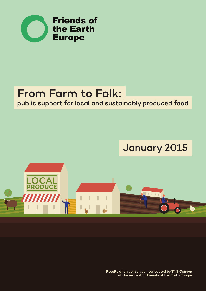

## From Farm to Folk: public support for local and sustainably produced food

# **January 2015**



Results of an opinion poll conducted by TNS Opinion at the request of Friends of the Earth Europe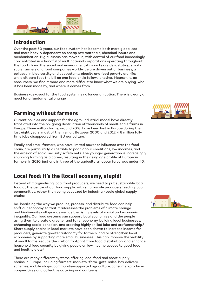

## Introduction

Over the past 50 years, our food system has become both more globalised and more heavily dependent on cheap raw materials, chemical inputs and mechanisation. Big business has moved in, with control of our food increasingly concentrated in a handful of multinational corporations operating throughout the food chain. The social and environmental impacts are devastating: smallscale farmers and food companies worldwide are driven out of business; a collapse in biodiversity and ecosystems; obesity and food poverty are rife; while citizens foot the bill as one food crisis follows another. Meanwhile, as consumers, we find it more and more difficult to know what we are buying, who it has been made by, and where it comes from.

Business-as-usual for the food system is no longer an option. There is clearly a need for a fundamental change.

## Farming without farmers

Current policies and support for the agro-industrial model have directly translated into the on-going destruction of thousands of small-scale farms in Europe. Three million farms, around 20%, have been lost in Europe during the last eight years, most of them small. Between 2000 and 2012, 4.8 million fulltime jobs disappeared from EU agriculture.<sup>1</sup>

Family and small farmers, who have limited power or influence over the food chain, are particularly vulnerable to poor labour conditions, low incomes, and the erosion of social security safety nets. The younger generation is increasingly shunning farming as a career, resulting in the rising age profile of European farmers. In 2010, just one in three of the agricultural labour force was under 40.

## Local food: it's the (local) economy, stupid!

Instead of marginalising local food producers, we need to put sustainable local food at the centre of our food supply, with small-scale producers feeding local communities, rather than being squeezed by industrial-scale global supply chains.

Re-localising the way we produce, process, and distribute food can help shift our economy so that it addresses the problems of climate change and biodiversity collapse, as well as the rising levels of social and economic inequality. Our food systems can support local economies and the people using them to create a greener and fairer economy, building local businesses, enhancing social cohesion, and creating highly skilled jobs and craftsmanship.<sup>2</sup> Short supply chains in local markets have been shown to increase income for producers, generate greater autonomy for farmers, and to strengthen local economies by supporting more small businesses. This can improve the viability of small farms, reduce the carbon footprint from food distribution, and enhance household food security by giving people on low income access to good food and healthy diets.3

There are many different systems offering local food and short supply chains in Europe, including farmers' markets, 'farm-gate' sales, box delivery schemes, mobile shops, community-supported agriculture, consumer-producer cooperatives and collective catering and canteens.



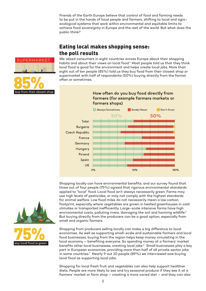Friends of the Earth Europe believe that control of food and farming needs to be put in the hands of local people and farmers, shifting to local and agroecological systems that work within environmental and equitable limits to achieve food sovereignty in Europe and the rest of the world. But what does the public think?

## Eating local makes shopping sense: the poll results



We asked consumers in eight countries across Europe about their shopping habits and about their views on local food.<sup>4</sup> Most people told us that they think local food is good for the environment and helps create local jobs. More than eight out of ten people (85%) told us they buy food from their closest shop or supermarket with half of respondents (50%) buying directly from the farmer often or sometimes.

#### How often do you buy food directly from farmers (for example farmers markets or farmers shops)



Shopping locally can have environmental benefits, and our survey found that three out of four people (75%) agreed that rigorous environmental standards applied to "local" food. Local food isn't always necessarily green. Farms may use high levels of pesticides, or may not comply with the highest standards for animal welfare. Low food miles do not necessarily mean a low carbon footprint, especially where vegetables are grown in heated greenhouses in cold climates or transported inefficiently. Large-scale intensive farms have high environmental costs, polluting rivers, damaging the soil and harming wildlife.<sup>5</sup> But buying directly from the producers can be a good option, especially from small and organic farmers.

Shopping from producers selling locally can make a big difference to local economies. As well as supporting small-scale and sustainable farmers and local food businesses, buying from the region helps keep money circulating in the local economy – benefiting everyone. So spending money at a farmers' market benefits other local businesses, creating local jobs.6 Small businesses play a key part in European economies, providing more than half of all private sector jobs in some countries.7 Nearly 9 out 10 people (89%) we interviewed saw buying local food as supporting local jobs.

Shopping for local fresh fruit and vegetables can also help support healthier diets. People are more likely to see and try seasonal produce if they see it at a farmers' market or farm shop – creating a more varied diet – and they can also



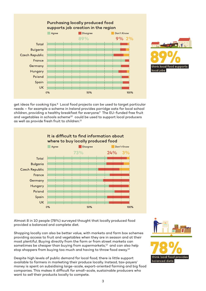



get ideas for cooking tips.8 Local food projects can be used to target particular needs – for example a scheme in Ireland provides porridge oats for local school children, providing a healthy breakfast for everyone.<sup>9</sup> The EU-funded free fruit and vegetables in schools scheme<sup>10</sup> could be used to support local producers as well as provide fresh fruit to children.<sup>11</sup>



Almost 8 in 10 people (78%) surveyed thought that locally produced food provided a balanced and complete diet.

Shopping locally can also be better value, with markets and farm box schemes providing access to fruit and vegetables when they are in season and at their most plentiful. Buying directly from the farm or from street markets can sometimes be cheaper than buying from supermarkets,<sup>12</sup> and can also help stop shoppers from buying too much and having to throw food away.<sup>13</sup>

Despite high levels of public demand for local food, there is little support available to farmers in marketing their produce locally. Instead, tax-payers' money is spent on subsidising large-scale, export-oriented farming and big food companies. This makes it difficult for small-scale, sustainable producers who want to sell their products locally to compete.

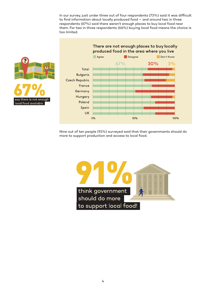In our survey, just under three out of four respondents (73%) said it was difficult to find information about locally produced food – and around two in three respondents (67%) said there weren't enough places to buy local food near them. For two in three respondents (66%) buying local food means the choice is too limited.





Nine out of ten people (91%) surveyed said that their governments should do more to support production and access to local food.

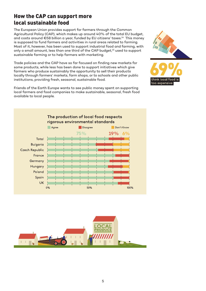## How the CAP can support more local sustainable food

The European Union provides support for farmers through the Common Agricultural Policy (CAP), which makes up around 40% of the total EU budget, and costs around €58 billion a year, funded by EU citizens' taxes.14 This money is supposed to fund farmers and activities in rural areas related to farming. Most of it, however, has been used to support industrial food and farming, with only a small amount, less than one third of the CAP budget,<sup>15</sup> used to support sustainable farming or to help farmers with marketing.

Trade policies and the CAP have so far focused on finding new markets for some products, while less has been done to support initiatives which give farmers who produce sustainably the opportunity to sell their products locally through farmers' markets, farm shops, or to schools and other public institutions, providing fresh, seasonal, sustainable food.

Friends of the Earth Europe wants to see public money spent on supporting local farmers and food companies to make sustainable, seasonal, fresh food available to local people.





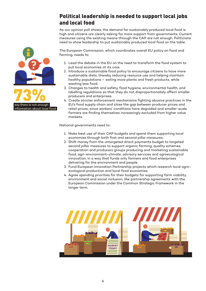## Political leadership is needed to support local jobs and local food

As our opinion poll shows, the demand for sustainably produced local food is high and citizens are clearly asking for more support from governments. Current measures using the existing means through the CAP are not enough. Politicians need to show leadership to put sustainably produced local food on the table.

The European Commission, which coordinates overall EU policy on food and farming, needs to:

- 1. Lead the debate in the EU on the need to transform the food system to put local economies at its core.
- 2. Introduce a sustainable food policy to encourage citizens to have more sustainable diets, thereby reducing resource use and helping maintain healthy populations – eating more plants and fresh products, while wasting less food.
- 3. Changes to health and safety, food hygiene, environmental health, and labelling regulations so that they do not disproportionately affect smaller producers and enterprises.
- 4. Create stricter enforcement mechanisms fighting abusive practices in the EU's food supply chain and close the gap between producer prices and retail prices, since workers' conditions have degraded and smaller-scale farmers are finding themselves increasingly excluded from higher value markets.

National governments need to:

- 1. Make best use of their CAP budgets and spend them supporting local economies through both first and second pillar measures.
- 2. Shift money from the untargeted direct payments budget to targeted second pillar measures to support organic farming, quality schemes, cooperation and producers groups producing and marketing sustainable food, agri-environment-climate, advisory services and agroecological innovation, in a way that funds only farmers and food enterprises delivering for the environment and people.
- 3. Fund European Innovation Partnership projects which research local agroecological production and local food economies.
- 4. Agree spending priorities for their budgets for supporting farm viability, environment and social inclusion, like partnership agreements with the European Commission under the Common Strategic Framework in the longer term.